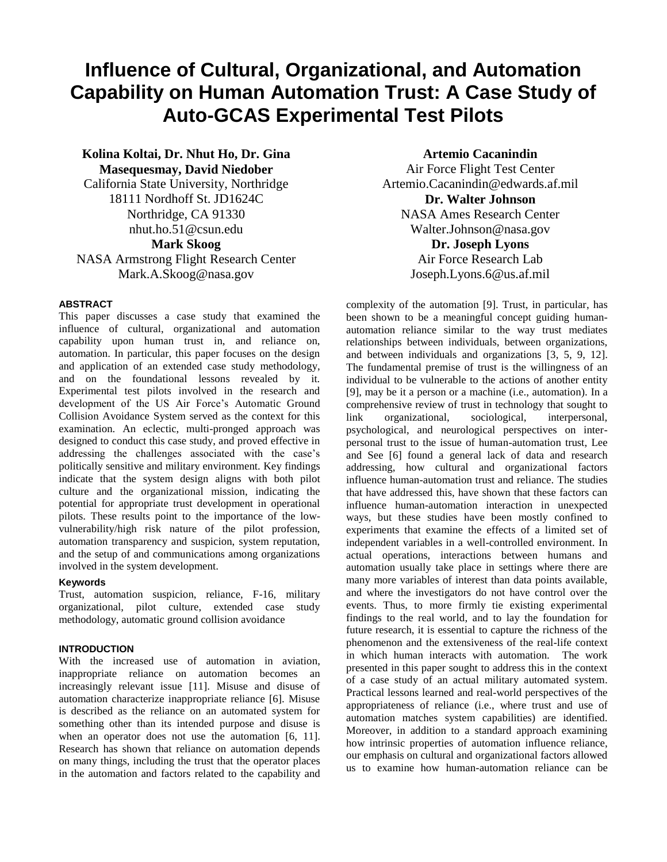# **Influence of Cultural, Organizational, and Automation Capability on Human Automation Trust: A Case Study of Auto-GCAS Experimental Test Pilots**

**Kolina Koltai, Dr. Nhut Ho, Dr. Gina Masequesmay, David Niedober** California State University, Northridge 18111 Nordhoff St. JD1624C Northridge, CA 91330 nhut.ho.51@csun.edu **Mark Skoog**

NASA Armstrong Flight Research Center Mark.A.Skoog@nasa.gov

#### **ABSTRACT**

This paper discusses a case study that examined the influence of cultural, organizational and automation capability upon human trust in, and reliance on, automation. In particular, this paper focuses on the design and application of an extended case study methodology, and on the foundational lessons revealed by it. Experimental test pilots involved in the research and development of the US Air Force's Automatic Ground Collision Avoidance System served as the context for this examination. An eclectic, multi-pronged approach was designed to conduct this case study, and proved effective in addressing the challenges associated with the case's politically sensitive and military environment. Key findings indicate that the system design aligns with both pilot culture and the organizational mission, indicating the potential for appropriate trust development in operational pilots. These results point to the importance of the lowvulnerability/high risk nature of the pilot profession, automation transparency and suspicion, system reputation, and the setup of and communications among organizations involved in the system development.

#### **Keywords**

Trust, automation suspicion, reliance, F-16, military organizational, pilot culture, extended case study methodology, automatic ground collision avoidance

#### **INTRODUCTION**

With the increased use of automation in aviation, inappropriate reliance on automation becomes an increasingly relevant issue [11]. Misuse and disuse of automation characterize inappropriate reliance [6]. Misuse is described as the reliance on an automated system for something other than its intended purpose and disuse is when an operator does not use the automation [6, 11]. Research has shown that reliance on automation depends on many things, including the trust that the operator places in the automation and factors related to the capability and

**Artemio Cacanindin** Air Force Flight Test Center Artemio.Cacanindin@edwards.af.mil **Dr. Walter Johnson** NASA Ames Research Center Walter.Johnson@nasa.gov **Dr. Joseph Lyons** Air Force Research Lab

Joseph.Lyons.6@us.af.mil

complexity of the automation [9]. Trust, in particular, has been shown to be a meaningful concept guiding humanautomation reliance similar to the way trust mediates relationships between individuals, between organizations, and between individuals and organizations [3, 5, 9, 12]. The fundamental premise of trust is the willingness of an individual to be vulnerable to the actions of another entity [9], may be it a person or a machine (i.e., automation). In a comprehensive review of trust in technology that sought to link organizational, sociological, interpersonal, psychological, and neurological perspectives on interpersonal trust to the issue of human-automation trust, Lee and See [6] found a general lack of data and research addressing, how cultural and organizational factors influence human-automation trust and reliance. The studies that have addressed this, have shown that these factors can influence human-automation interaction in unexpected ways, but these studies have been mostly confined to experiments that examine the effects of a limited set of independent variables in a well-controlled environment. In actual operations, interactions between humans and automation usually take place in settings where there are many more variables of interest than data points available, and where the investigators do not have control over the events. Thus, to more firmly tie existing experimental findings to the real world, and to lay the foundation for future research, it is essential to capture the richness of the phenomenon and the extensiveness of the real-life context in which human interacts with automation. The work presented in this paper sought to address this in the context of a case study of an actual military automated system. Practical lessons learned and real-world perspectives of the appropriateness of reliance (i.e., where trust and use of automation matches system capabilities) are identified. Moreover, in addition to a standard approach examining how intrinsic properties of automation influence reliance, our emphasis on cultural and organizational factors allowed us to examine how human-automation reliance can be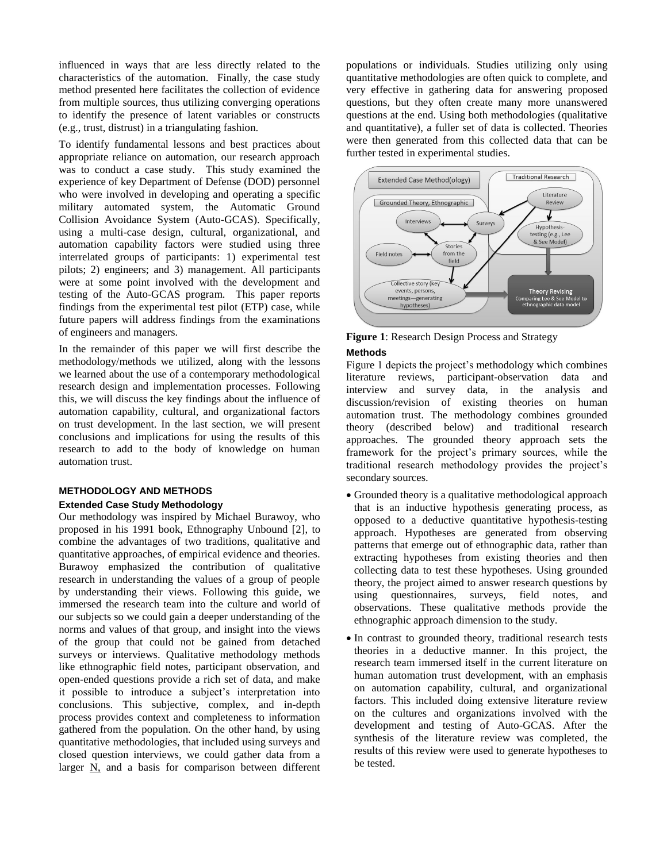influenced in ways that are less directly related to the characteristics of the automation. Finally, the case study method presented here facilitates the collection of evidence from multiple sources, thus utilizing converging operations to identify the presence of latent variables or constructs (e.g., trust, distrust) in a triangulating fashion.

To identify fundamental lessons and best practices about appropriate reliance on automation, our research approach was to conduct a case study. This study examined the experience of key Department of Defense (DOD) personnel who were involved in developing and operating a specific military automated system, the Automatic Ground Collision Avoidance System (Auto-GCAS). Specifically, using a multi-case design, cultural, organizational, and automation capability factors were studied using three interrelated groups of participants: 1) experimental test pilots; 2) engineers; and 3) management. All participants were at some point involved with the development and testing of the Auto-GCAS program. This paper reports findings from the experimental test pilot (ETP) case, while future papers will address findings from the examinations of engineers and managers.

In the remainder of this paper we will first describe the methodology/methods we utilized, along with the lessons we learned about the use of a contemporary methodological research design and implementation processes. Following this, we will discuss the key findings about the influence of automation capability, cultural, and organizational factors on trust development. In the last section, we will present conclusions and implications for using the results of this research to add to the body of knowledge on human automation trust.

#### **METHODOLOGY AND METHODS Extended Case Study Methodology**

Our methodology was inspired by Michael Burawoy, who proposed in his 1991 book, Ethnography Unbound [2], to combine the advantages of two traditions, qualitative and quantitative approaches, of empirical evidence and theories. Burawoy emphasized the contribution of qualitative research in understanding the values of a group of people by understanding their views. Following this guide, we immersed the research team into the culture and world of our subjects so we could gain a deeper understanding of the norms and values of that group, and insight into the views of the group that could not be gained from detached surveys or interviews. Qualitative methodology methods like ethnographic field notes, participant observation, and open-ended questions provide a rich set of data, and make it possible to introduce a subject's interpretation into conclusions. This subjective, complex, and in-depth process provides context and completeness to information gathered from the population. On the other hand, by using quantitative methodologies, that included using surveys and closed question interviews, we could gather data from a larger  $N$ , and a basis for comparison between different populations or individuals. Studies utilizing only using quantitative methodologies are often quick to complete, and very effective in gathering data for answering proposed questions, but they often create many more unanswered questions at the end. Using both methodologies (qualitative and quantitative), a fuller set of data is collected. Theories were then generated from this collected data that can be further tested in experimental studies.



## **Figure 1**: Research Design Process and Strategy **Methods**

Figure 1 depicts the project's methodology which combines literature reviews, participant-observation data and interview and survey data, in the analysis and discussion/revision of existing theories on human automation trust. The methodology combines grounded theory (described below) and traditional research approaches. The grounded theory approach sets the framework for the project's primary sources, while the traditional research methodology provides the project's secondary sources.

- Grounded theory is a qualitative methodological approach that is an inductive hypothesis generating process, as opposed to a deductive quantitative hypothesis-testing approach. Hypotheses are generated from observing patterns that emerge out of ethnographic data, rather than extracting hypotheses from existing theories and then collecting data to test these hypotheses. Using grounded theory, the project aimed to answer research questions by using questionnaires, surveys, field notes, and observations. These qualitative methods provide the ethnographic approach dimension to the study.
- In contrast to grounded theory, traditional research tests theories in a deductive manner. In this project, the research team immersed itself in the current literature on human automation trust development, with an emphasis on automation capability, cultural, and organizational factors. This included doing extensive literature review on the cultures and organizations involved with the development and testing of Auto-GCAS. After the synthesis of the literature review was completed, the results of this review were used to generate hypotheses to be tested.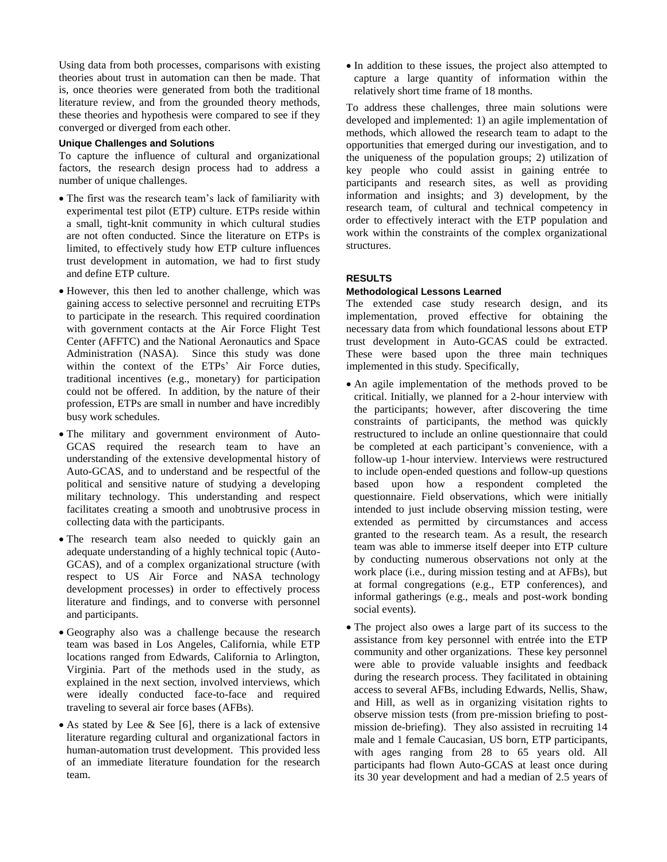Using data from both processes, comparisons with existing theories about trust in automation can then be made. That is, once theories were generated from both the traditional literature review, and from the grounded theory methods, these theories and hypothesis were compared to see if they converged or diverged from each other.

## **Unique Challenges and Solutions**

To capture the influence of cultural and organizational factors, the research design process had to address a number of unique challenges.

- The first was the research team's lack of familiarity with experimental test pilot (ETP) culture. ETPs reside within a small, tight-knit community in which cultural studies are not often conducted. Since the literature on ETPs is limited, to effectively study how ETP culture influences trust development in automation, we had to first study and define ETP culture.
- However, this then led to another challenge, which was gaining access to selective personnel and recruiting ETPs to participate in the research. This required coordination with government contacts at the Air Force Flight Test Center (AFFTC) and the National Aeronautics and Space Administration (NASA). Since this study was done within the context of the ETPs' Air Force duties, traditional incentives (e.g., monetary) for participation could not be offered. In addition, by the nature of their profession, ETPs are small in number and have incredibly busy work schedules.
- The military and government environment of Auto-GCAS required the research team to have an understanding of the extensive developmental history of Auto-GCAS, and to understand and be respectful of the political and sensitive nature of studying a developing military technology. This understanding and respect facilitates creating a smooth and unobtrusive process in collecting data with the participants.
- The research team also needed to quickly gain an adequate understanding of a highly technical topic (Auto-GCAS), and of a complex organizational structure (with respect to US Air Force and NASA technology development processes) in order to effectively process literature and findings, and to converse with personnel and participants.
- Geography also was a challenge because the research team was based in Los Angeles, California, while ETP locations ranged from Edwards, California to Arlington, Virginia. Part of the methods used in the study, as explained in the next section, involved interviews, which were ideally conducted face-to-face and required traveling to several air force bases (AFBs).
- As stated by Lee & See [6], there is a lack of extensive literature regarding cultural and organizational factors in human-automation trust development. This provided less of an immediate literature foundation for the research team.

• In addition to these issues, the project also attempted to capture a large quantity of information within the relatively short time frame of 18 months.

To address these challenges, three main solutions were developed and implemented: 1) an agile implementation of methods, which allowed the research team to adapt to the opportunities that emerged during our investigation, and to the uniqueness of the population groups; 2) utilization of key people who could assist in gaining entrée to participants and research sites, as well as providing information and insights; and 3) development, by the research team, of cultural and technical competency in order to effectively interact with the ETP population and work within the constraints of the complex organizational structures.

## **RESULTS**

#### **Methodological Lessons Learned**

The extended case study research design, and its implementation, proved effective for obtaining the necessary data from which foundational lessons about ETP trust development in Auto-GCAS could be extracted. These were based upon the three main techniques implemented in this study. Specifically,

- An agile implementation of the methods proved to be critical. Initially, we planned for a 2-hour interview with the participants; however, after discovering the time constraints of participants, the method was quickly restructured to include an online questionnaire that could be completed at each participant's convenience, with a follow-up 1-hour interview. Interviews were restructured to include open-ended questions and follow-up questions based upon how a respondent completed the questionnaire. Field observations, which were initially intended to just include observing mission testing, were extended as permitted by circumstances and access granted to the research team. As a result, the research team was able to immerse itself deeper into ETP culture by conducting numerous observations not only at the work place (i.e., during mission testing and at AFBs), but at formal congregations (e.g., ETP conferences), and informal gatherings (e.g., meals and post-work bonding social events).
- The project also owes a large part of its success to the assistance from key personnel with entrée into the ETP community and other organizations. These key personnel were able to provide valuable insights and feedback during the research process. They facilitated in obtaining access to several AFBs, including Edwards, Nellis, Shaw, and Hill, as well as in organizing visitation rights to observe mission tests (from pre-mission briefing to postmission de-briefing). They also assisted in recruiting 14 male and 1 female Caucasian, US born, ETP participants, with ages ranging from 28 to 65 years old. All participants had flown Auto-GCAS at least once during its 30 year development and had a median of 2.5 years of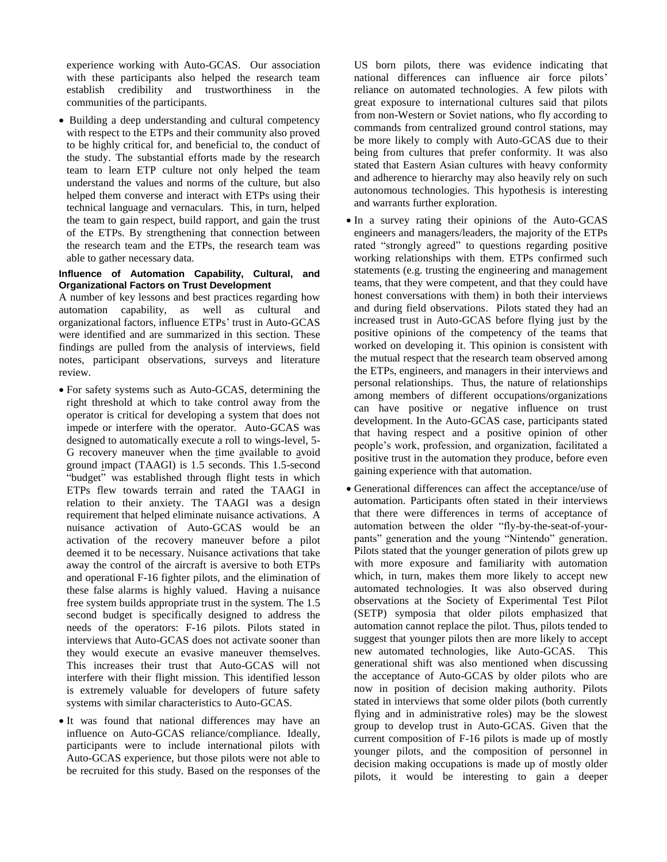experience working with Auto-GCAS. Our association with these participants also helped the research team establish credibility and trustworthiness in the communities of the participants.

 Building a deep understanding and cultural competency with respect to the ETPs and their community also proved to be highly critical for, and beneficial to, the conduct of the study. The substantial efforts made by the research team to learn ETP culture not only helped the team understand the values and norms of the culture, but also helped them converse and interact with ETPs using their technical language and vernaculars. This, in turn, helped the team to gain respect, build rapport, and gain the trust of the ETPs. By strengthening that connection between the research team and the ETPs, the research team was able to gather necessary data.

#### **Influence of Automation Capability, Cultural, and Organizational Factors on Trust Development**

A number of key lessons and best practices regarding how automation capability, as well as cultural and organizational factors, influence ETPs' trust in Auto-GCAS were identified and are summarized in this section. These findings are pulled from the analysis of interviews, field notes, participant observations, surveys and literature review.

- For safety systems such as Auto-GCAS, determining the right threshold at which to take control away from the operator is critical for developing a system that does not impede or interfere with the operator. Auto-GCAS was designed to automatically execute a roll to wings-level, 5- G recovery maneuver when the time available to avoid ground impact (TAAGI) is 1.5 seconds. This 1.5-second "budget" was established through flight tests in which ETPs flew towards terrain and rated the TAAGI in relation to their anxiety. The TAAGI was a design requirement that helped eliminate nuisance activations. A nuisance activation of Auto-GCAS would be an activation of the recovery maneuver before a pilot deemed it to be necessary. Nuisance activations that take away the control of the aircraft is aversive to both ETPs and operational F-16 fighter pilots, and the elimination of these false alarms is highly valued. Having a nuisance free system builds appropriate trust in the system. The 1.5 second budget is specifically designed to address the needs of the operators: F-16 pilots. Pilots stated in interviews that Auto-GCAS does not activate sooner than they would execute an evasive maneuver themselves. This increases their trust that Auto-GCAS will not interfere with their flight mission. This identified lesson is extremely valuable for developers of future safety systems with similar characteristics to Auto-GCAS.
- It was found that national differences may have an influence on Auto-GCAS reliance/compliance. Ideally, participants were to include international pilots with Auto-GCAS experience, but those pilots were not able to be recruited for this study. Based on the responses of the

US born pilots, there was evidence indicating that national differences can influence air force pilots' reliance on automated technologies. A few pilots with great exposure to international cultures said that pilots from non-Western or Soviet nations, who fly according to commands from centralized ground control stations, may be more likely to comply with Auto-GCAS due to their being from cultures that prefer conformity. It was also stated that Eastern Asian cultures with heavy conformity and adherence to hierarchy may also heavily rely on such autonomous technologies. This hypothesis is interesting and warrants further exploration.

- In a survey rating their opinions of the Auto-GCAS engineers and managers/leaders, the majority of the ETPs rated "strongly agreed" to questions regarding positive working relationships with them. ETPs confirmed such statements (e.g. trusting the engineering and management teams, that they were competent, and that they could have honest conversations with them) in both their interviews and during field observations. Pilots stated they had an increased trust in Auto-GCAS before flying just by the positive opinions of the competency of the teams that worked on developing it. This opinion is consistent with the mutual respect that the research team observed among the ETPs, engineers, and managers in their interviews and personal relationships. Thus, the nature of relationships among members of different occupations/organizations can have positive or negative influence on trust development. In the Auto-GCAS case, participants stated that having respect and a positive opinion of other people's work, profession, and organization, facilitated a positive trust in the automation they produce, before even gaining experience with that automation.
- Generational differences can affect the acceptance/use of automation. Participants often stated in their interviews that there were differences in terms of acceptance of automation between the older "fly-by-the-seat-of-yourpants" generation and the young "Nintendo" generation. Pilots stated that the younger generation of pilots grew up with more exposure and familiarity with automation which, in turn, makes them more likely to accept new automated technologies. It was also observed during observations at the Society of Experimental Test Pilot (SETP) symposia that older pilots emphasized that automation cannot replace the pilot. Thus, pilots tended to suggest that younger pilots then are more likely to accept new automated technologies, like Auto-GCAS. This generational shift was also mentioned when discussing the acceptance of Auto-GCAS by older pilots who are now in position of decision making authority. Pilots stated in interviews that some older pilots (both currently flying and in administrative roles) may be the slowest group to develop trust in Auto-GCAS. Given that the current composition of F-16 pilots is made up of mostly younger pilots, and the composition of personnel in decision making occupations is made up of mostly older pilots, it would be interesting to gain a deeper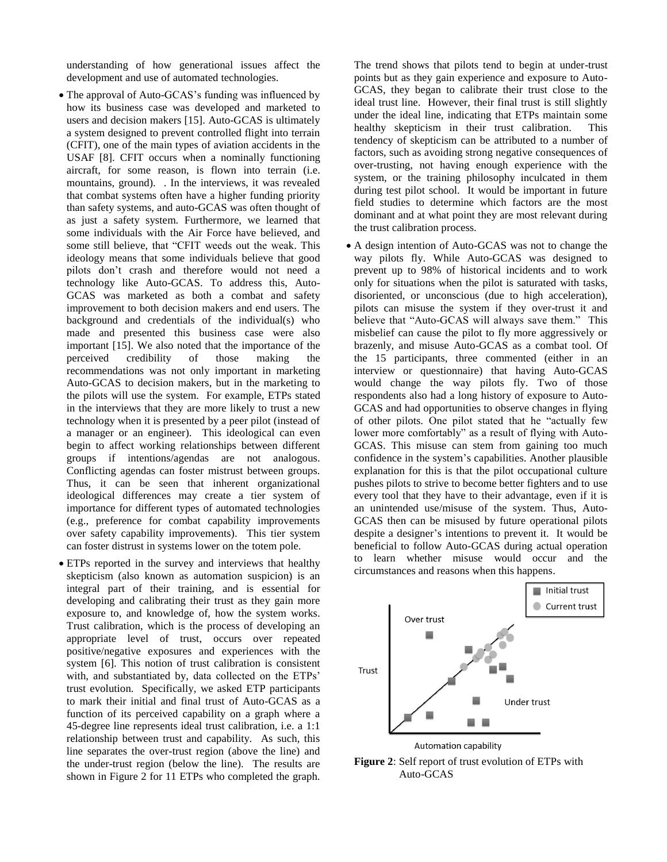understanding of how generational issues affect the development and use of automated technologies.

- The approval of Auto-GCAS's funding was influenced by how its business case was developed and marketed to users and decision makers [15]. Auto-GCAS is ultimately a system designed to prevent controlled flight into terrain (CFIT), one of the main types of aviation accidents in the USAF [8]. CFIT occurs when a nominally functioning aircraft, for some reason, is flown into terrain (i.e. mountains, ground). . In the interviews, it was revealed that combat systems often have a higher funding priority than safety systems, and auto-GCAS was often thought of as just a safety system. Furthermore, we learned that some individuals with the Air Force have believed, and some still believe, that "CFIT weeds out the weak. This ideology means that some individuals believe that good pilots don't crash and therefore would not need a technology like Auto-GCAS. To address this, Auto-GCAS was marketed as both a combat and safety improvement to both decision makers and end users. The background and credentials of the individual(s) who made and presented this business case were also important [15]. We also noted that the importance of the perceived credibility of those making the recommendations was not only important in marketing Auto-GCAS to decision makers, but in the marketing to the pilots will use the system. For example, ETPs stated in the interviews that they are more likely to trust a new technology when it is presented by a peer pilot (instead of a manager or an engineer). This ideological can even begin to affect working relationships between different groups if intentions/agendas are not analogous. Conflicting agendas can foster mistrust between groups. Thus, it can be seen that inherent organizational ideological differences may create a tier system of importance for different types of automated technologies (e.g., preference for combat capability improvements over safety capability improvements). This tier system can foster distrust in systems lower on the totem pole.
- ETPs reported in the survey and interviews that healthy skepticism (also known as automation suspicion) is an integral part of their training, and is essential for developing and calibrating their trust as they gain more exposure to, and knowledge of, how the system works. Trust calibration, which is the process of developing an appropriate level of trust, occurs over repeated positive/negative exposures and experiences with the system [6]. This notion of trust calibration is consistent with, and substantiated by, data collected on the ETPs' trust evolution. Specifically, we asked ETP participants to mark their initial and final trust of Auto-GCAS as a function of its perceived capability on a graph where a 45-degree line represents ideal trust calibration, i.e. a 1:1 relationship between trust and capability. As such, this line separates the over-trust region (above the line) and the under-trust region (below the line). The results are shown in Figure 2 for 11 ETPs who completed the graph.

The trend shows that pilots tend to begin at under-trust points but as they gain experience and exposure to Auto-GCAS, they began to calibrate their trust close to the ideal trust line. However, their final trust is still slightly under the ideal line, indicating that ETPs maintain some healthy skepticism in their trust calibration. This tendency of skepticism can be attributed to a number of factors, such as avoiding strong negative consequences of over-trusting, not having enough experience with the system, or the training philosophy inculcated in them during test pilot school. It would be important in future field studies to determine which factors are the most dominant and at what point they are most relevant during the trust calibration process.

 A design intention of Auto-GCAS was not to change the way pilots fly. While Auto-GCAS was designed to prevent up to 98% of historical incidents and to work only for situations when the pilot is saturated with tasks, disoriented, or unconscious (due to high acceleration), pilots can misuse the system if they over-trust it and believe that "Auto-GCAS will always save them." This misbelief can cause the pilot to fly more aggressively or brazenly, and misuse Auto-GCAS as a combat tool. Of the 15 participants, three commented (either in an interview or questionnaire) that having Auto-GCAS would change the way pilots fly. Two of those respondents also had a long history of exposure to Auto-GCAS and had opportunities to observe changes in flying of other pilots. One pilot stated that he "actually few lower more comfortably" as a result of flying with Auto-GCAS. This misuse can stem from gaining too much confidence in the system's capabilities. Another plausible explanation for this is that the pilot occupational culture pushes pilots to strive to become better fighters and to use every tool that they have to their advantage, even if it is an unintended use/misuse of the system. Thus, Auto-GCAS then can be misused by future operational pilots despite a designer's intentions to prevent it. It would be beneficial to follow Auto-GCAS during actual operation to learn whether misuse would occur and the circumstances and reasons when this happens.



**Figure 2**: Self report of trust evolution of ETPs with Auto-GCAS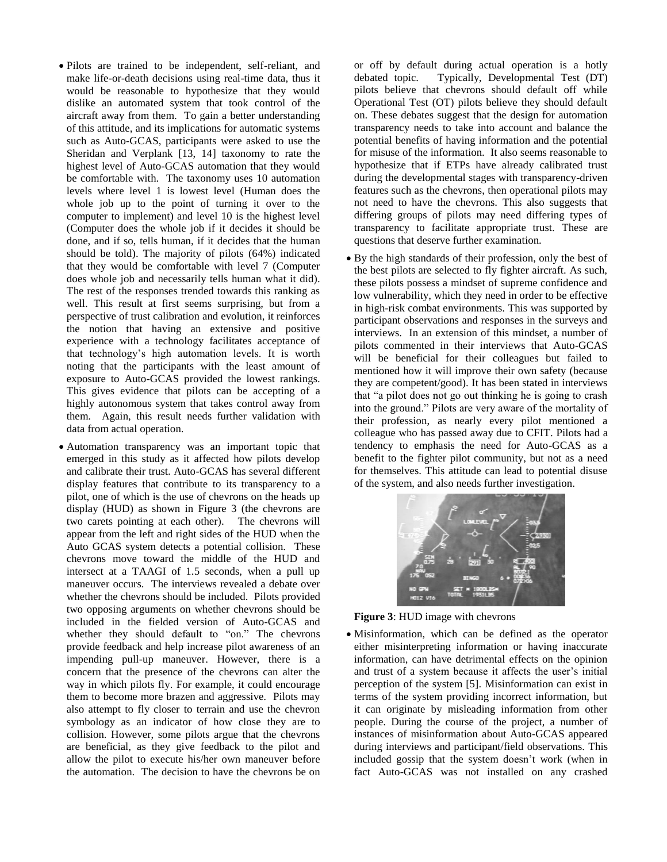- Pilots are trained to be independent, self-reliant, and make life-or-death decisions using real-time data, thus it would be reasonable to hypothesize that they would dislike an automated system that took control of the aircraft away from them. To gain a better understanding of this attitude, and its implications for automatic systems such as Auto-GCAS, participants were asked to use the Sheridan and Verplank [13, 14] taxonomy to rate the highest level of Auto-GCAS automation that they would be comfortable with. The taxonomy uses 10 automation levels where level 1 is lowest level (Human does the whole job up to the point of turning it over to the computer to implement) and level 10 is the highest level (Computer does the whole job if it decides it should be done, and if so, tells human, if it decides that the human should be told). The majority of pilots (64%) indicated that they would be comfortable with level 7 (Computer does whole job and necessarily tells human what it did). The rest of the responses trended towards this ranking as well. This result at first seems surprising, but from a perspective of trust calibration and evolution, it reinforces the notion that having an extensive and positive experience with a technology facilitates acceptance of that technology's high automation levels. It is worth noting that the participants with the least amount of exposure to Auto-GCAS provided the lowest rankings. This gives evidence that pilots can be accepting of a highly autonomous system that takes control away from them. Again, this result needs further validation with data from actual operation.
- Automation transparency was an important topic that emerged in this study as it affected how pilots develop and calibrate their trust. Auto-GCAS has several different display features that contribute to its transparency to a pilot, one of which is the use of chevrons on the heads up display (HUD) as shown in Figure 3 (the chevrons are two carets pointing at each other). The chevrons will appear from the left and right sides of the HUD when the Auto GCAS system detects a potential collision. These chevrons move toward the middle of the HUD and intersect at a TAAGI of 1.5 seconds, when a pull up maneuver occurs. The interviews revealed a debate over whether the chevrons should be included. Pilots provided two opposing arguments on whether chevrons should be included in the fielded version of Auto-GCAS and whether they should default to "on." The chevrons provide feedback and help increase pilot awareness of an impending pull-up maneuver. However, there is a concern that the presence of the chevrons can alter the way in which pilots fly. For example, it could encourage them to become more brazen and aggressive. Pilots may also attempt to fly closer to terrain and use the chevron symbology as an indicator of how close they are to collision. However, some pilots argue that the chevrons are beneficial, as they give feedback to the pilot and allow the pilot to execute his/her own maneuver before the automation. The decision to have the chevrons be on

or off by default during actual operation is a hotly debated topic. Typically, Developmental Test (DT) pilots believe that chevrons should default off while Operational Test (OT) pilots believe they should default on. These debates suggest that the design for automation transparency needs to take into account and balance the potential benefits of having information and the potential for misuse of the information. It also seems reasonable to hypothesize that if ETPs have already calibrated trust during the developmental stages with transparency-driven features such as the chevrons, then operational pilots may not need to have the chevrons. This also suggests that differing groups of pilots may need differing types of transparency to facilitate appropriate trust. These are questions that deserve further examination.

 By the high standards of their profession, only the best of the best pilots are selected to fly fighter aircraft. As such, these pilots possess a mindset of supreme confidence and low vulnerability, which they need in order to be effective in high-risk combat environments. This was supported by participant observations and responses in the surveys and interviews. In an extension of this mindset, a number of pilots commented in their interviews that Auto-GCAS will be beneficial for their colleagues but failed to mentioned how it will improve their own safety (because they are competent/good). It has been stated in interviews that "a pilot does not go out thinking he is going to crash into the ground." Pilots are very aware of the mortality of their profession, as nearly every pilot mentioned a colleague who has passed away due to CFIT. Pilots had a tendency to emphasis the need for Auto-GCAS as a benefit to the fighter pilot community, but not as a need for themselves. This attitude can lead to potential disuse of the system, and also needs further investigation.



**Figure 3**: HUD image with chevrons

 Misinformation, which can be defined as the operator either misinterpreting information or having inaccurate information, can have detrimental effects on the opinion and trust of a system because it affects the user's initial perception of the system [5]. Misinformation can exist in terms of the system providing incorrect information, but it can originate by misleading information from other people. During the course of the project, a number of instances of misinformation about Auto-GCAS appeared during interviews and participant/field observations. This included gossip that the system doesn't work (when in fact Auto-GCAS was not installed on any crashed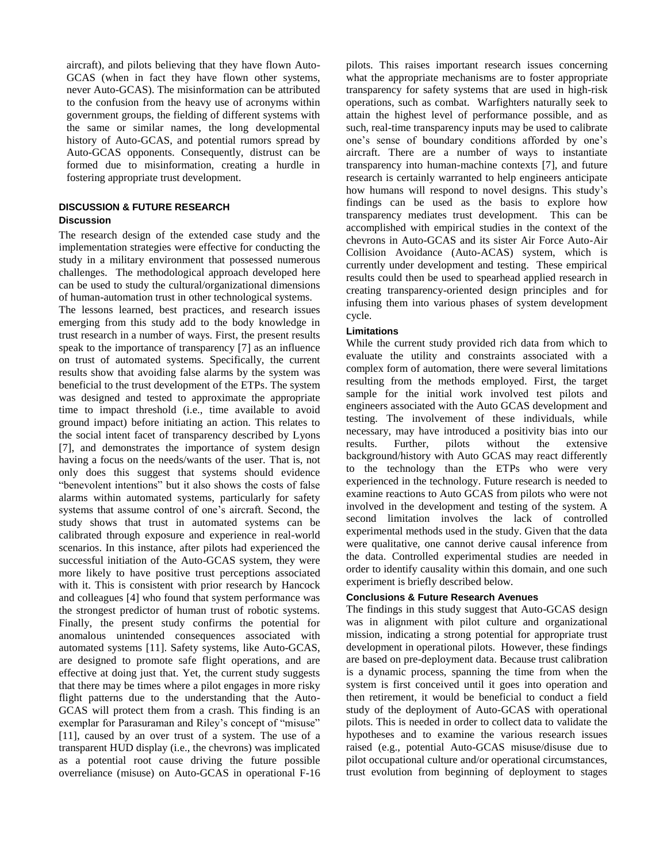aircraft), and pilots believing that they have flown Auto-GCAS (when in fact they have flown other systems, never Auto-GCAS). The misinformation can be attributed to the confusion from the heavy use of acronyms within government groups, the fielding of different systems with the same or similar names, the long developmental history of Auto-GCAS, and potential rumors spread by Auto-GCAS opponents. Consequently, distrust can be formed due to misinformation, creating a hurdle in fostering appropriate trust development.

### **DISCUSSION & FUTURE RESEARCH Discussion**

The research design of the extended case study and the implementation strategies were effective for conducting the study in a military environment that possessed numerous challenges. The methodological approach developed here can be used to study the cultural/organizational dimensions of human-automation trust in other technological systems.

The lessons learned, best practices, and research issues emerging from this study add to the body knowledge in trust research in a number of ways. First, the present results speak to the importance of transparency [7] as an influence on trust of automated systems. Specifically, the current results show that avoiding false alarms by the system was beneficial to the trust development of the ETPs. The system was designed and tested to approximate the appropriate time to impact threshold (i.e., time available to avoid ground impact) before initiating an action. This relates to the social intent facet of transparency described by Lyons [7], and demonstrates the importance of system design having a focus on the needs/wants of the user. That is, not only does this suggest that systems should evidence "benevolent intentions" but it also shows the costs of false alarms within automated systems, particularly for safety systems that assume control of one's aircraft. Second, the study shows that trust in automated systems can be calibrated through exposure and experience in real-world scenarios. In this instance, after pilots had experienced the successful initiation of the Auto-GCAS system, they were more likely to have positive trust perceptions associated with it. This is consistent with prior research by Hancock and colleagues [4] who found that system performance was the strongest predictor of human trust of robotic systems. Finally, the present study confirms the potential for anomalous unintended consequences associated with automated systems [11]. Safety systems, like Auto-GCAS, are designed to promote safe flight operations, and are effective at doing just that. Yet, the current study suggests that there may be times where a pilot engages in more risky flight patterns due to the understanding that the Auto-GCAS will protect them from a crash. This finding is an exemplar for Parasuraman and Riley's concept of "misuse" [11], caused by an over trust of a system. The use of a transparent HUD display (i.e., the chevrons) was implicated as a potential root cause driving the future possible overreliance (misuse) on Auto-GCAS in operational F-16 pilots. This raises important research issues concerning what the appropriate mechanisms are to foster appropriate transparency for safety systems that are used in high-risk operations, such as combat. Warfighters naturally seek to attain the highest level of performance possible, and as such, real-time transparency inputs may be used to calibrate one's sense of boundary conditions afforded by one's aircraft. There are a number of ways to instantiate transparency into human-machine contexts [7], and future research is certainly warranted to help engineers anticipate how humans will respond to novel designs. This study's findings can be used as the basis to explore how transparency mediates trust development. This can be accomplished with empirical studies in the context of the chevrons in Auto-GCAS and its sister Air Force Auto-Air Collision Avoidance (Auto-ACAS) system, which is currently under development and testing. These empirical results could then be used to spearhead applied research in creating transparency-oriented design principles and for infusing them into various phases of system development cycle.

#### **Limitations**

While the current study provided rich data from which to evaluate the utility and constraints associated with a complex form of automation, there were several limitations resulting from the methods employed. First, the target sample for the initial work involved test pilots and engineers associated with the Auto GCAS development and testing. The involvement of these individuals, while necessary, may have introduced a positivity bias into our results. Further, pilots without the extensive background/history with Auto GCAS may react differently to the technology than the ETPs who were very experienced in the technology. Future research is needed to examine reactions to Auto GCAS from pilots who were not involved in the development and testing of the system. A second limitation involves the lack of controlled experimental methods used in the study. Given that the data were qualitative, one cannot derive causal inference from the data. Controlled experimental studies are needed in order to identify causality within this domain, and one such experiment is briefly described below.

#### **Conclusions & Future Research Avenues**

The findings in this study suggest that Auto-GCAS design was in alignment with pilot culture and organizational mission, indicating a strong potential for appropriate trust development in operational pilots. However, these findings are based on pre-deployment data. Because trust calibration is a dynamic process, spanning the time from when the system is first conceived until it goes into operation and then retirement, it would be beneficial to conduct a field study of the deployment of Auto-GCAS with operational pilots. This is needed in order to collect data to validate the hypotheses and to examine the various research issues raised (e.g., potential Auto-GCAS misuse/disuse due to pilot occupational culture and/or operational circumstances, trust evolution from beginning of deployment to stages